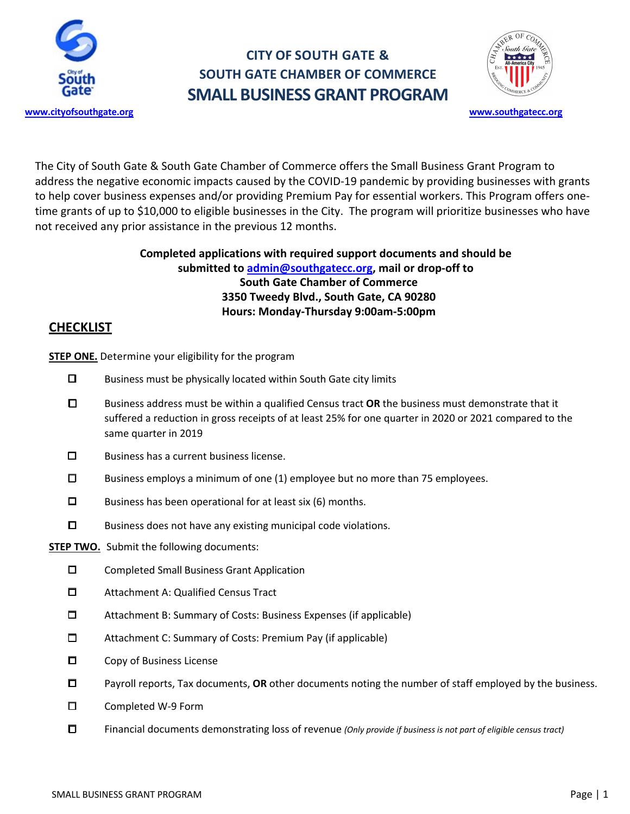

## **CITY OF SOUTH GATE & SOUTH GATE CHAMBER OF COMMERCE SMALL BUSINESS GRANT PROGRAM**



The City of South Gate & South Gate Chamber of Commerce offers the Small Business Grant Program to address the negative economic impacts caused by the COVID-19 pandemic by providing businesses with grants to help cover business expenses and/or providing Premium Pay for essential workers. This Program offers onetime grants of up to \$10,000 to eligible businesses in the City. The program will prioritize businesses who have not received any prior assistance in the previous 12 months.

### **Completed applications with required support documents and should be submitted to admin@southgatecc.org, mail or drop-off to South Gate Chamber of Commerce 3350 Tweedy Blvd., South Gate, CA 90280 Hours: Monday-Thursday 9:00am-5:00pm**

### **CHECKLIST**

**STEP ONE.** Determine your eligibility for the program

- ☐ Business must be physically located within South Gate city limits
- ☐ Business address must be within a qualified Census tract **OR** the business must demonstrate that it suffered a reduction in gross receipts of at least 25% for one quarter in 2020 or 2021 compared to the same quarter in 2019
- ☐ Business has a current business license.
- ☐ Business employs a minimum of one (1) employee but no more than 75 employees.
- $\square$  Business has been operational for at least six (6) months.
- ☐ Business does not have any existing municipal code violations.

### **STEP TWO.** Submit the following documents:

- ☐ Completed Small Business Grant Application
- ☐ Attachment A: Qualified Census Tract
- ☐ Attachment B: Summary of Costs: Business Expenses (if applicable)
- ☐ Attachment C: Summary of Costs: Premium Pay (if applicable)
- ☐ Copy of Business License
- ☐ Payroll reports, Tax documents, **OR** other documents noting the number of staff employed by the business.
- ☐ Completed W-9 Form
- ☐ Financial documents demonstrating loss of revenue *(Only provide if business is not part of eligible census tract)*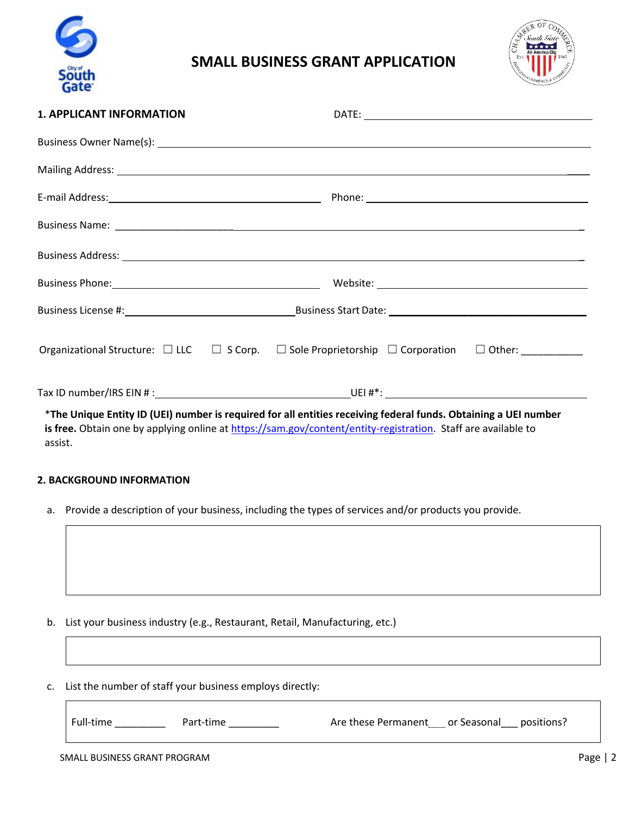

### **SMALL BUSINESS GRANT APPLICATION**



| <b>1. APPLICANT INFORMATION</b> |                                                                                                                                                                                                                                     |
|---------------------------------|-------------------------------------------------------------------------------------------------------------------------------------------------------------------------------------------------------------------------------------|
|                                 |                                                                                                                                                                                                                                     |
|                                 |                                                                                                                                                                                                                                     |
|                                 |                                                                                                                                                                                                                                     |
|                                 |                                                                                                                                                                                                                                     |
|                                 | Business Address: <u>Communications</u> Contract Contract Contract Contract Contract Contract Contract Contract Contract Contract Contract Contract Contract Contract Contract Contract Contract Contract Contract Contract Contrac |
|                                 |                                                                                                                                                                                                                                     |
|                                 |                                                                                                                                                                                                                                     |
|                                 | Organizational Structure: $\Box$ LLC $\Box$ S Corp. $\Box$ Sole Proprietorship $\Box$ Corporation $\Box$ Other: __________                                                                                                          |
|                                 |                                                                                                                                                                                                                                     |
| assist.                         | *The Unique Entity ID (UEI) number is required for all entities receiving federal funds. Obtaining a UEI number<br>is free. Obtain one by applying online at https://sam.gov/content/entity-registration. Staff are available to    |

#### **2. BACKGROUND INFORMATION**

a. Provide a description of your business, including the types of services and/or products you provide.

- b. List your business industry (e.g., Restaurant, Retail, Manufacturing, etc.)
- c. List the number of staff your business employs directly:

SMALL BUSINESS GRANT PROGRAM **PAGE AND STATE STATES ASSESS** FOR A Page | 2 Full-time \_\_\_\_\_\_\_\_\_\_ Part-time \_\_\_\_\_\_\_\_\_ Are these Permanent \_\_\_ or Seasonal \_\_\_ positions?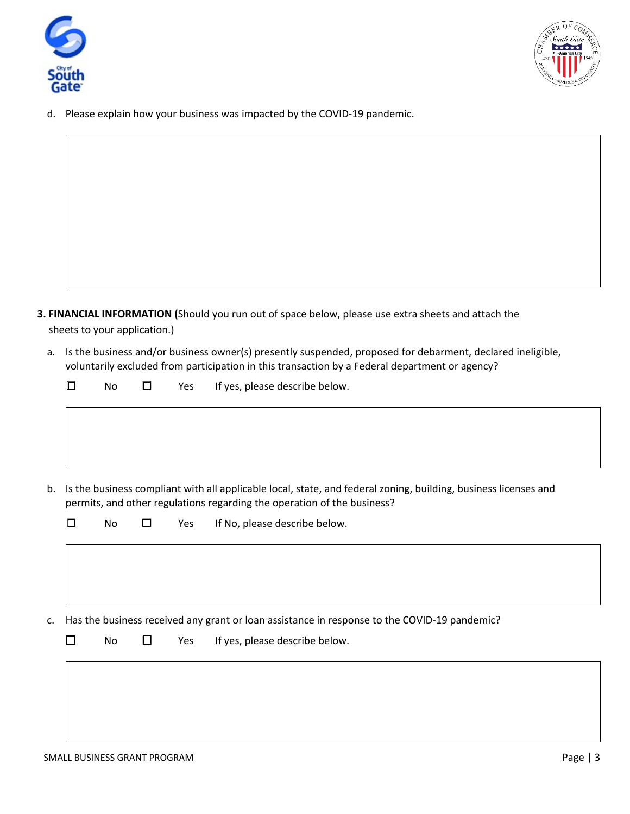



d. Please explain how your business was impacted by the COVID-19 pandemic.

- **3. FINANCIAL INFORMATION (**Should you run out of space below, please use extra sheets and attach the sheets to your application.)
	- a. Is the business and/or business owner(s) presently suspended, proposed for debarment, declared ineligible, voluntarily excluded from participation in this transaction by a Federal department or agency?

| $\Box$ |  | No $\Box$ Yes If yes, please describe below. |
|--------|--|----------------------------------------------|
|        |  |                                              |
|        |  |                                              |
|        |  |                                              |

b. Is the business compliant with all applicable local, state, and federal zoning, building, business licenses and permits, and other regulations regarding the operation of the business?

|    |                                                                                              | No | □      | Yes | If No, please describe below.  |
|----|----------------------------------------------------------------------------------------------|----|--------|-----|--------------------------------|
|    |                                                                                              |    |        |     |                                |
|    |                                                                                              |    |        |     |                                |
| c. | Has the business received any grant or loan assistance in response to the COVID-19 pandemic? |    |        |     |                                |
|    | П                                                                                            | No | $\Box$ | Yes | If yes, please describe below. |
|    |                                                                                              |    |        |     |                                |
|    |                                                                                              |    |        |     |                                |
|    |                                                                                              |    |        |     |                                |
|    |                                                                                              |    |        |     |                                |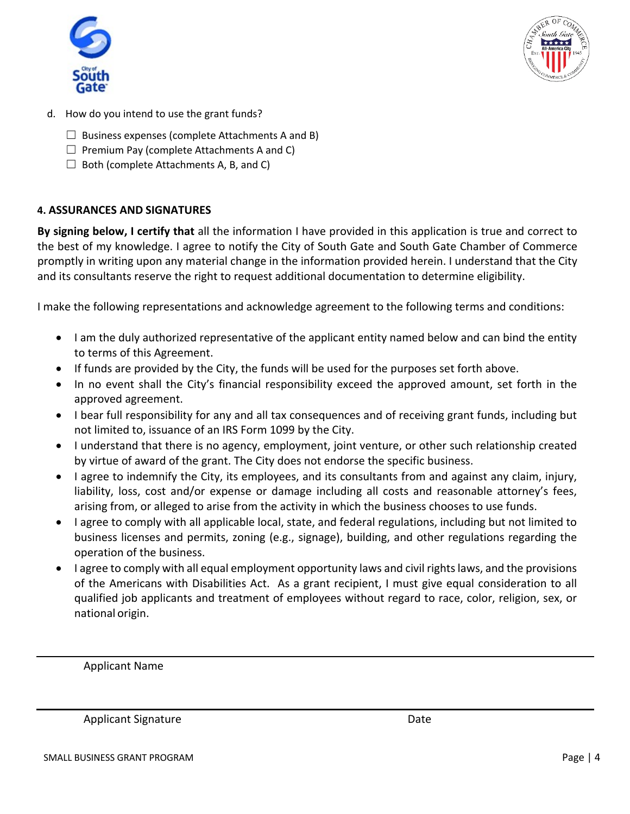



- d. How do you intend to use the grant funds?
	- $\Box$  Business expenses (complete Attachments A and B)
	- $\Box$  Premium Pay (complete Attachments A and C)
	- $\Box$  Both (complete Attachments A, B, and C)

### **4. ASSURANCES AND SIGNATURES**

**By signing below, I certify that** all the information I have provided in this application is true and correct to the best of my knowledge. I agree to notify the City of South Gate and South Gate Chamber of Commerce promptly in writing upon any material change in the information provided herein. I understand that the City and its consultants reserve the right to request additional documentation to determine eligibility.

I make the following representations and acknowledge agreement to the following terms and conditions:

- I am the duly authorized representative of the applicant entity named below and can bind the entity to terms of this Agreement.
- If funds are provided by the City, the funds will be used for the purposes set forth above.
- In no event shall the City's financial responsibility exceed the approved amount, set forth in the approved agreement.
- I bear full responsibility for any and all tax consequences and of receiving grant funds, including but not limited to, issuance of an IRS Form 1099 by the City.
- I understand that there is no agency, employment, joint venture, or other such relationship created by virtue of award of the grant. The City does not endorse the specific business.
- I agree to indemnify the City, its employees, and its consultants from and against any claim, injury, liability, loss, cost and/or expense or damage including all costs and reasonable attorney's fees, arising from, or alleged to arise from the activity in which the business chooses to use funds.
- I agree to comply with all applicable local, state, and federal regulations, including but not limited to business licenses and permits, zoning (e.g., signage), building, and other regulations regarding the operation of the business.
- I agree to comply with all equal employment opportunity laws and civil rights laws, and the provisions of the Americans with Disabilities Act. As a grant recipient, I must give equal consideration to all qualified job applicants and treatment of employees without regard to race, color, religion, sex, or national origin.

Applicant Name

Applicant Signature Date Date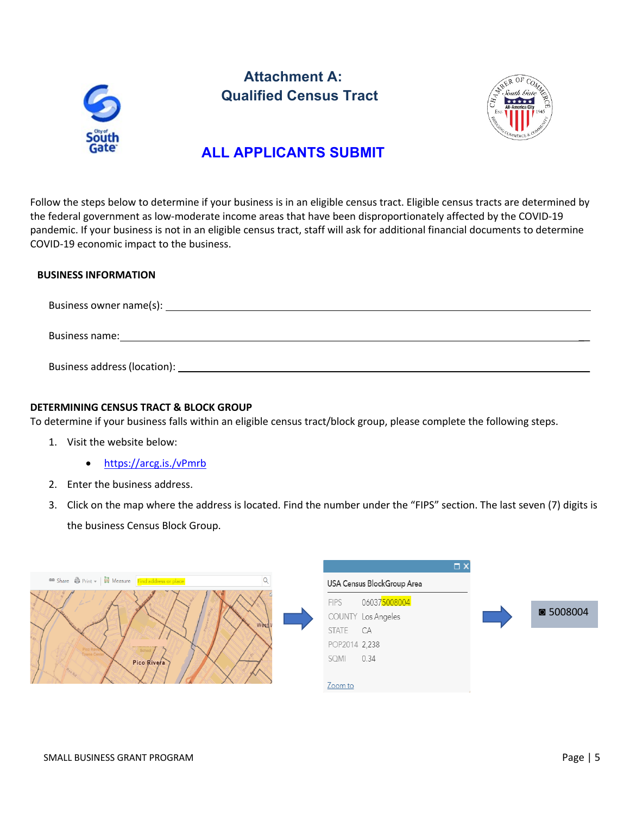

## **Attachment A: Qualified Census Tract**



### **ALL APPLICANTS SUBMIT**

Follow the steps below to determine if your business is in an eligible census tract. Eligible census tracts are determined by the federal government as low-moderate income areas that have been disproportionately affected by the COVID-19 pandemic. If your business is not in an eligible census tract, staff will ask for additional financial documents to determine COVID-19 economic impact to the business.

#### **BUSINESS INFORMATION**

Business owner name(s):

Business name: \_\_

Business address(location): \_\_

#### **DETERMINING CENSUS TRACT & BLOCK GROUP**

To determine if your business falls within an eligible census tract/block group, please complete the following steps.

- 1. Visit the website below:
	- https://arcg.is./vPmrb
- 2. Enter the business address.
- 3. Click on the map where the address is located. Find the number under the "FIPS" section. The last seven (7) digits is the business Census Block Group.

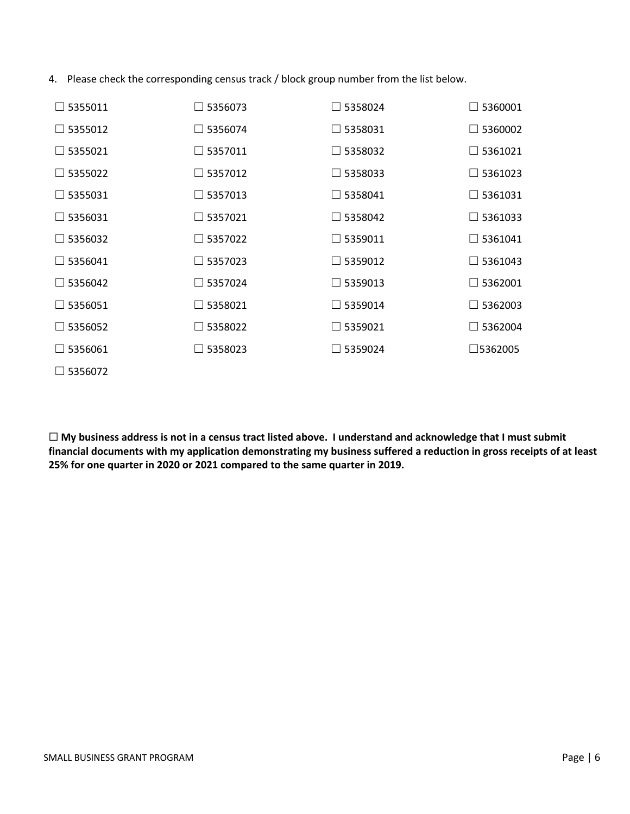4. Please check the corresponding census track / block group number from the list below.

| $\Box$ 5355011 | $\Box$ 5356073 | $\Box$ 5358024    | $\Box$ 5360001    |
|----------------|----------------|-------------------|-------------------|
| $\Box$ 5355012 | $\Box$ 5356074 | $\square$ 5358031 | $\Box$ 5360002    |
| $\Box$ 5355021 | $\Box$ 5357011 | $\Box$ 5358032    | $\Box$ 5361021    |
| $\Box$ 5355022 | $\Box$ 5357012 | $\Box$ 5358033    | $\Box$ 5361023    |
| $\Box$ 5355031 | $\Box$ 5357013 | $\Box$ 5358041    | $\Box$ 5361031    |
| $\Box$ 5356031 | $\Box$ 5357021 | $\Box$ 5358042    | $\Box$ 5361033    |
| $\Box$ 5356032 | $\Box$ 5357022 | $\Box$ 5359011    | $\Box$ 5361041    |
| $\Box$ 5356041 | $\Box$ 5357023 | $\Box$ 5359012    | $\Box$ 5361043    |
| $\Box$ 5356042 | $\Box$ 5357024 | $\Box$ 5359013    | $\Box$ 5362001    |
| $\Box$ 5356051 | $\Box$ 5358021 | $\Box$ 5359014    | $\Box$ 5362003    |
| $\Box$ 5356052 | $\Box$ 5358022 | $\Box$ 5359021    | $\Box$ 5362004    |
| $\Box$ 5356061 | $\Box$ 5358023 | $\Box$ 5359024    | $\square$ 5362005 |
| $\Box$ 5356072 |                |                   |                   |

☐ **My business address is not in a census tract listed above. I understand and acknowledge that I must submit financial documents with my application demonstrating my business suffered a reduction in gross receipts of at least 25% for one quarter in 2020 or 2021 compared to the same quarter in 2019.**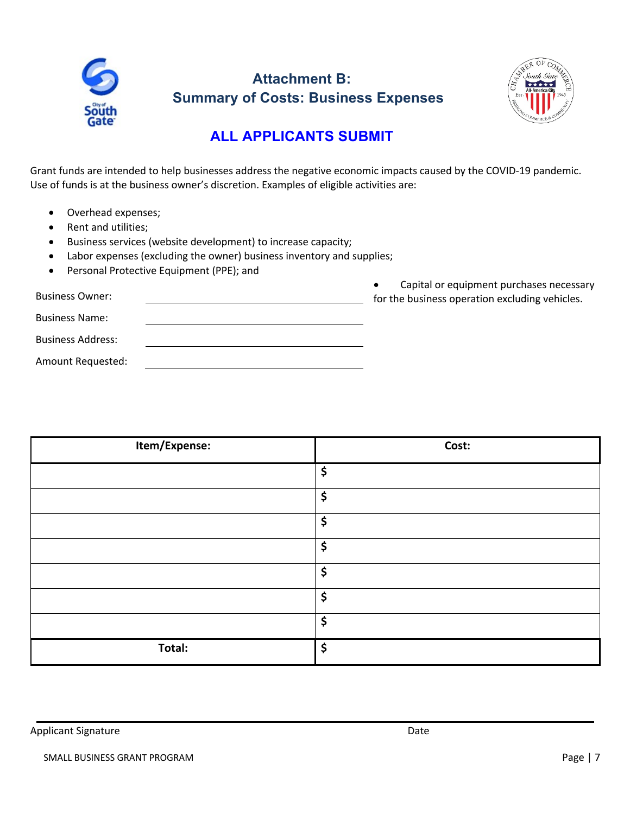

# **Attachment B: Summary of Costs: Business Expenses**



## **ALL APPLICANTS SUBMIT**

Grant funds are intended to help businesses address the negative economic impacts caused by the COVID-19 pandemic. Use of funds is at the business owner's discretion. Examples of eligible activities are:

- Overhead expenses;
- Rent and utilities;
- Business services (website development) to increase capacity;
- Labor expenses (excluding the owner) business inventory and supplies;
- Personal Protective Equipment (PPE); and

• Capital or equipment purchases necessary Business Owner: for the business operation excluding vehicles. Business Name: Business Address: Amount Requested:

| Item/Expense: | Cost: |
|---------------|-------|
|               | \$    |
|               | \$    |
|               | \$    |
|               | \$    |
|               | \$    |
|               | \$    |
|               | \$    |
| Total:        | \$    |